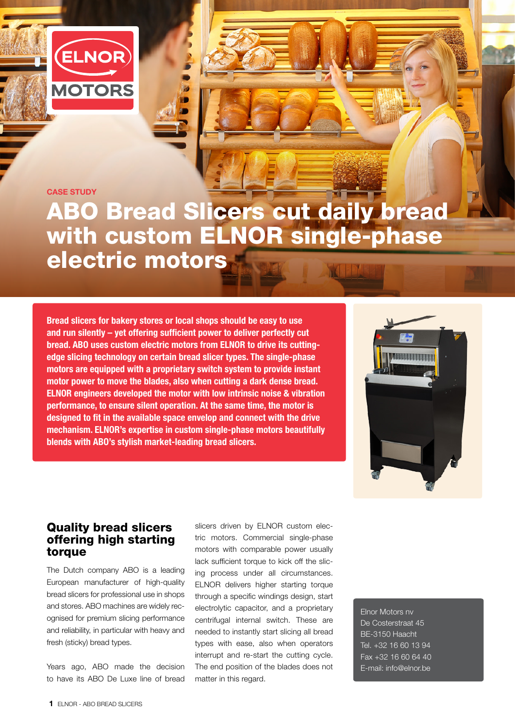

CASE STUDY

## ABO Bread Slicers cut daily bread with custom ELNOR single-phase electric motors

Bread slicers for bakery stores or local shops should be easy to use and run silently – yet offering sufficient power to deliver perfectly cut bread. ABO uses custom electric motors from ELNOR to drive its cuttingedge slicing technology on certain bread slicer types. The single-phase motors are equipped with a proprietary switch system to provide instant motor power to move the blades, also when cutting a dark dense bread. ELNOR engineers developed the motor with low intrinsic noise & vibration performance, to ensure silent operation. At the same time, the motor is designed to fit in the available space envelop and connect with the drive mechanism. ELNOR's expertise in custom single-phase motors beautifully blends with ABO's stylish market-leading bread slicers.



## Quality bread slicers offering high starting torque

The Dutch company ABO is a leading European manufacturer of high-quality bread slicers for professional use in shops and stores. ABO machines are widely recognised for premium slicing performance and reliability, in particular with heavy and fresh (sticky) bread types.

Years ago, ABO made the decision to have its ABO De Luxe line of bread

slicers driven by ELNOR custom electric motors. Commercial single-phase motors with comparable power usually lack sufficient torque to kick off the slicing process under all circumstances. ELNOR delivers higher starting torque through a specific windings design, start electrolytic capacitor, and a proprietary centrifugal internal switch. These are needed to instantly start slicing all bread types with ease, also when operators interrupt and re-start the cutting cycle. The end position of the blades does not matter in this regard.

Elnor Motors nv De Costerstraat 45 BE-3150 Haacht Tel. +32 16 60 13 94 Fax +32 16 60 64 40 E-mail: info@elnor.be